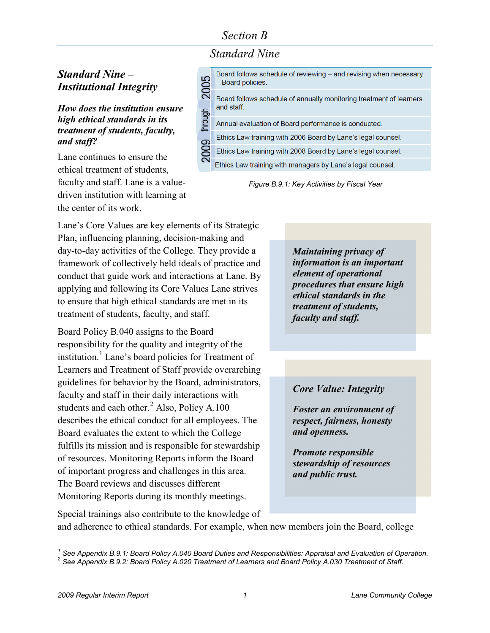## *Section B*

*Standard Nine*

### *Standard Nine – Institutional Integrity*

*How does the institution ensure high ethical standards in its treatment of students, faculty, and staff?* 

Lane continues to ensure the ethical treatment of students, faculty and staff. Lane is a valuedriven institution with learning at the center of its work.



*Figure B.9.1: Key Activities by Fiscal Year*

Lane's Core Values are key elements of its Strategic Plan, influencing planning, decision-making and day-to-day activities of the College. They provide a framework of collectively held ideals of practice and conduct that guide work and interactions at Lane. By applying and following its Core Values Lane strives to ensure that high ethical standards are met in its treatment of students, faculty, and staff.

Board Policy B.040 assigns to the Board responsibility for the quality and integrity of the institution.<sup>[1](#page-0-0)</sup> Lane's board policies for Treatment of Learners and Treatment of Staff provide overarching guidelines for behavior by the Board, administrators, faculty and staff in their daily interactions with students and each other. $<sup>2</sup>$  $<sup>2</sup>$  $<sup>2</sup>$  Also, Policy A.100</sup> describes the ethical conduct for all employees. The Board evaluates the extent to which the College fulfills its mission and is responsible for stewardship of resources. Monitoring Reports inform the Board of important progress and challenges in this area. The Board reviews and discusses different Monitoring Reports during its monthly meetings.

*Maintaining privacy of information is an important element of operational procedures that ensure high ethical standards in the treatment of students, faculty and staff.* 

#### *Core Value: Integrity*

*Foster an environment of respect, fairness, honesty and openness.* 

*Promote responsible stewardship of resources and public trust.* 

Special trainings also contribute to the knowledge of and adherence to ethical standards. For example, when new members join the Board, college

 $\overline{a}$ 

<span id="page-0-1"></span><span id="page-0-0"></span><sup>&</sup>lt;sup>1</sup> See Appendix B.9.1: Board Policy A.040 Board Duties and Responsibilities: Appraisal and Evaluation of Operation.<br><sup>2</sup> See Appendix B.9.2: Board Policy A.020 Treatment of Learners and Board Policy A.030 Treatment of Sta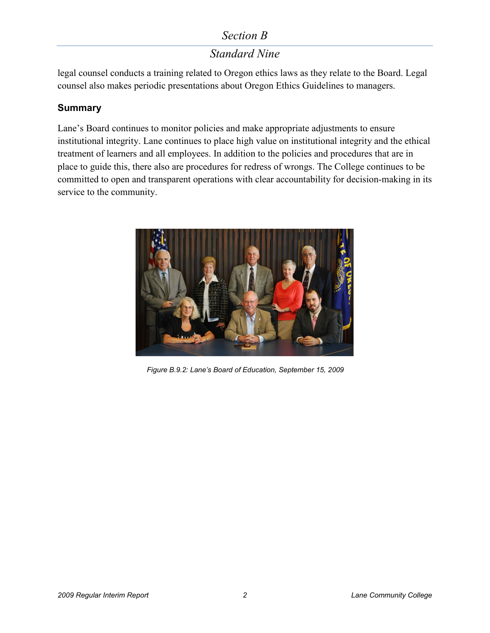## *Section B*

# *Standard Nine*

legal counsel conducts a training related to Oregon ethics laws as they relate to the Board. Legal counsel also makes periodic presentations about Oregon Ethics Guidelines to managers.

#### **Summary**

Lane's Board continues to monitor policies and make appropriate adjustments to ensure institutional integrity. Lane continues to place high value on institutional integrity and the ethical treatment of learners and all employees. In addition to the policies and procedures that are in place to guide this, there also are procedures for redress of wrongs. The College continues to be committed to open and transparent operations with clear accountability for decision-making in its service to the community.



*Figure B.9.2: Lane's Board of Education, September 15, 2009*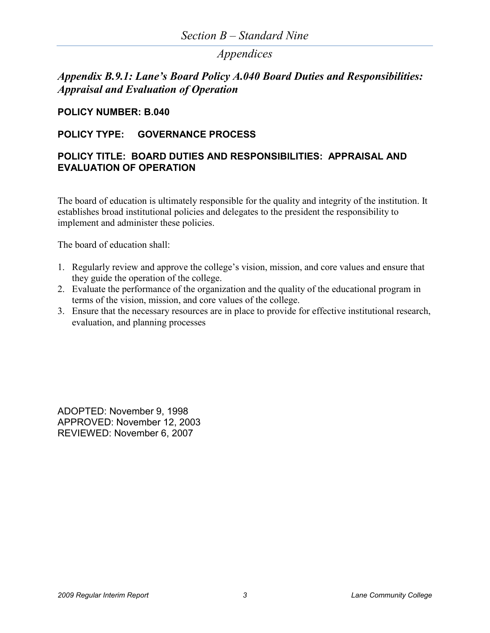### *Appendices*

### *Appendix B.9.1: Lane's Board Policy A.040 Board Duties and Responsibilities: Appraisal and Evaluation of Operation*

#### **POLICY NUMBER: B.040**

#### **POLICY TYPE: GOVERNANCE PROCESS**

#### **POLICY TITLE: BOARD DUTIES AND RESPONSIBILITIES: APPRAISAL AND EVALUATION OF OPERATION**

The board of education is ultimately responsible for the quality and integrity of the institution. It establishes broad institutional policies and delegates to the president the responsibility to implement and administer these policies.

The board of education shall:

- 1. Regularly review and approve the college's vision, mission, and core values and ensure that they guide the operation of the college.
- 2. Evaluate the performance of the organization and the quality of the educational program in terms of the vision, mission, and core values of the college.
- 3. Ensure that the necessary resources are in place to provide for effective institutional research, evaluation, and planning processes

ADOPTED: November 9, 1998 APPROVED: November 12, 2003 REVIEWED: November 6, 2007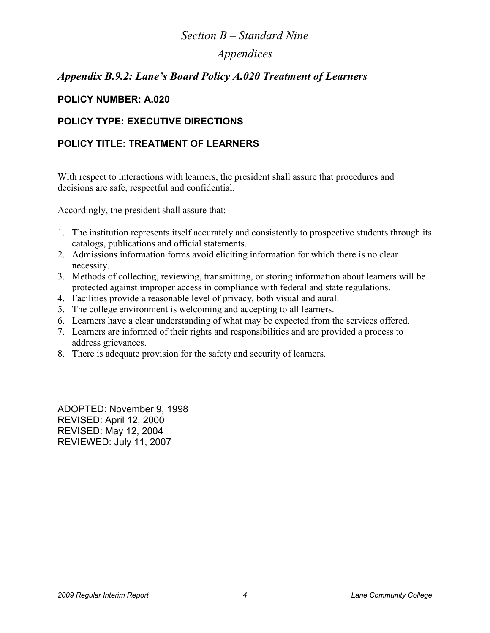## *Appendices*

### *Appendix B.9.2: Lane's Board Policy A.020 Treatment of Learners*

#### **POLICY NUMBER: A.020**

#### **POLICY TYPE: EXECUTIVE DIRECTIONS**

### **POLICY TITLE: TREATMENT OF LEARNERS**

With respect to interactions with learners, the president shall assure that procedures and decisions are safe, respectful and confidential.

Accordingly, the president shall assure that:

- 1. The institution represents itself accurately and consistently to prospective students through its catalogs, publications and official statements.
- 2. Admissions information forms avoid eliciting information for which there is no clear necessity.
- 3. Methods of collecting, reviewing, transmitting, or storing information about learners will be protected against improper access in compliance with federal and state regulations.
- 4. Facilities provide a reasonable level of privacy, both visual and aural.
- 5. The college environment is welcoming and accepting to all learners.
- 6. Learners have a clear understanding of what may be expected from the services offered.
- 7. Learners are informed of their rights and responsibilities and are provided a process to address grievances.
- 8. There is adequate provision for the safety and security of learners.

ADOPTED: November 9, 1998 REVISED: April 12, 2000 REVISED: May 12, 2004 REVIEWED: July 11, 2007